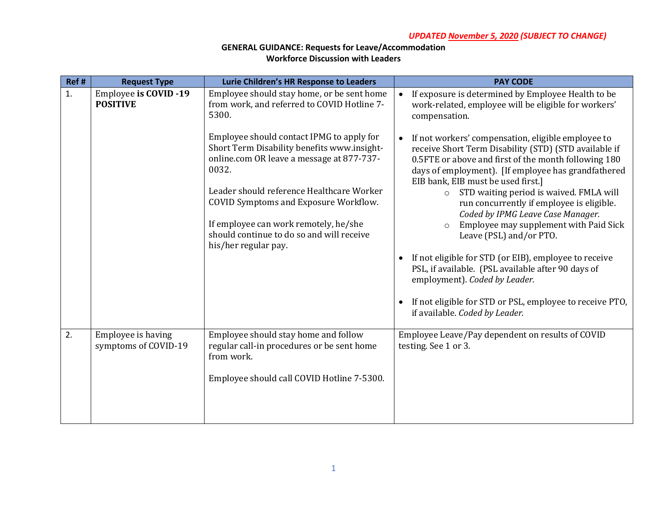| Ref # | <b>Request Type</b>                             | Lurie Children's HR Response to Leaders                                                                                                        | <b>PAY CODE</b>                                                                                                                                                                                                                                                  |
|-------|-------------------------------------------------|------------------------------------------------------------------------------------------------------------------------------------------------|------------------------------------------------------------------------------------------------------------------------------------------------------------------------------------------------------------------------------------------------------------------|
| 1.    | <b>Employee is COVID -19</b><br><b>POSITIVE</b> | Employee should stay home, or be sent home<br>from work, and referred to COVID Hotline 7-<br>5300.                                             | If exposure is determined by Employee Health to be<br>$\bullet$<br>work-related, employee will be eligible for workers'<br>compensation.                                                                                                                         |
|       |                                                 | Employee should contact IPMG to apply for<br>Short Term Disability benefits www.insight-<br>online.com OR leave a message at 877-737-<br>0032. | If not workers' compensation, eligible employee to<br>receive Short Term Disability (STD) (STD available if<br>0.5FTE or above and first of the month following 180<br>days of employment). [If employee has grandfathered<br>EIB bank, EIB must be used first.] |
|       |                                                 | Leader should reference Healthcare Worker<br>COVID Symptoms and Exposure Workflow.                                                             | o STD waiting period is waived. FMLA will<br>run concurrently if employee is eligible.<br>Coded by IPMG Leave Case Manager.                                                                                                                                      |
|       |                                                 | If employee can work remotely, he/she<br>should continue to do so and will receive<br>his/her regular pay.                                     | Employee may supplement with Paid Sick<br>Leave (PSL) and/or PTO.                                                                                                                                                                                                |
|       |                                                 |                                                                                                                                                | If not eligible for STD (or EIB), employee to receive<br>PSL, if available. (PSL available after 90 days of<br>employment). Coded by Leader.                                                                                                                     |
|       |                                                 |                                                                                                                                                | If not eligible for STD or PSL, employee to receive PTO,<br>if available. Coded by Leader.                                                                                                                                                                       |
| 2.    | Employee is having<br>symptoms of COVID-19      | Employee should stay home and follow<br>regular call-in procedures or be sent home<br>from work.                                               | Employee Leave/Pay dependent on results of COVID<br>testing. See 1 or 3.                                                                                                                                                                                         |
|       |                                                 | Employee should call COVID Hotline 7-5300.                                                                                                     |                                                                                                                                                                                                                                                                  |
|       |                                                 |                                                                                                                                                |                                                                                                                                                                                                                                                                  |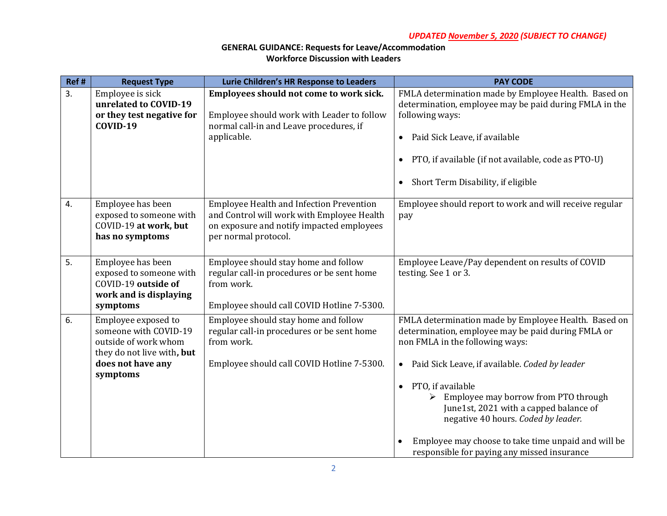| Ref#           | <b>Request Type</b>                                                                                                                 | Lurie Children's HR Response to Leaders                                                                                                                            | <b>PAY CODE</b>                                                                                                                                                                                                                                                                                                                                                                                                                                                                                        |
|----------------|-------------------------------------------------------------------------------------------------------------------------------------|--------------------------------------------------------------------------------------------------------------------------------------------------------------------|--------------------------------------------------------------------------------------------------------------------------------------------------------------------------------------------------------------------------------------------------------------------------------------------------------------------------------------------------------------------------------------------------------------------------------------------------------------------------------------------------------|
| 3 <sub>1</sub> | Employee is sick<br>unrelated to COVID-19<br>or they test negative for<br><b>COVID-19</b>                                           | Employees should not come to work sick.<br>Employee should work with Leader to follow<br>normal call-in and Leave procedures, if<br>applicable.                    | FMLA determination made by Employee Health. Based on<br>determination, employee may be paid during FMLA in the<br>following ways:<br>Paid Sick Leave, if available<br>$\bullet$<br>PTO, if available (if not available, code as PTO-U)<br>$\bullet$<br>Short Term Disability, if eligible<br>$\bullet$                                                                                                                                                                                                 |
| 4.             | Employee has been<br>exposed to someone with<br>COVID-19 at work, but<br>has no symptoms                                            | <b>Employee Health and Infection Prevention</b><br>and Control will work with Employee Health<br>on exposure and notify impacted employees<br>per normal protocol. | Employee should report to work and will receive regular<br>pay                                                                                                                                                                                                                                                                                                                                                                                                                                         |
| 5.             | Employee has been<br>exposed to someone with<br>COVID-19 outside of<br>work and is displaying<br>symptoms                           | Employee should stay home and follow<br>regular call-in procedures or be sent home<br>from work.<br>Employee should call COVID Hotline 7-5300.                     | Employee Leave/Pay dependent on results of COVID<br>testing. See 1 or 3.                                                                                                                                                                                                                                                                                                                                                                                                                               |
| 6.             | Employee exposed to<br>someone with COVID-19<br>outside of work whom<br>they do not live with, but<br>does not have any<br>symptoms | Employee should stay home and follow<br>regular call-in procedures or be sent home<br>from work.<br>Employee should call COVID Hotline 7-5300.                     | FMLA determination made by Employee Health. Based on<br>determination, employee may be paid during FMLA or<br>non FMLA in the following ways:<br>Paid Sick Leave, if available. Coded by leader<br>$\bullet$<br>PTO, if available<br>$\bullet$<br>Employee may borrow from PTO through<br>$\blacktriangleright$<br>June1st, 2021 with a capped balance of<br>negative 40 hours. Coded by leader.<br>Employee may choose to take time unpaid and will be<br>responsible for paying any missed insurance |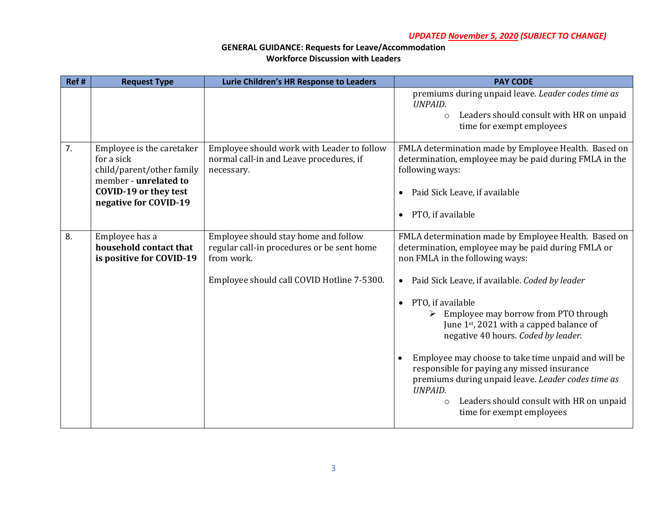| Ref # | <b>Request Type</b>                                                                                                                             | Lurie Children's HR Response to Leaders                                                                                                        | <b>PAY CODE</b>                                                                                                                                                                                                                                                                                                                                                                                                                                                                                                                                                     |
|-------|-------------------------------------------------------------------------------------------------------------------------------------------------|------------------------------------------------------------------------------------------------------------------------------------------------|---------------------------------------------------------------------------------------------------------------------------------------------------------------------------------------------------------------------------------------------------------------------------------------------------------------------------------------------------------------------------------------------------------------------------------------------------------------------------------------------------------------------------------------------------------------------|
|       |                                                                                                                                                 |                                                                                                                                                | premiums during unpaid leave. Leader codes time as<br><b>UNPAID.</b><br>Leaders should consult with HR on unpaid<br>$\circ$<br>time for exempt employees                                                                                                                                                                                                                                                                                                                                                                                                            |
| 7.    | Employee is the caretaker<br>for a sick<br>child/parent/other family<br>member - unrelated to<br>COVID-19 or they test<br>negative for COVID-19 | Employee should work with Leader to follow<br>normal call-in and Leave procedures, if<br>necessary.                                            | FMLA determination made by Employee Health. Based on<br>determination, employee may be paid during FMLA in the<br>following ways:<br>Paid Sick Leave, if available<br>$\bullet$<br>PTO, if available<br>$\bullet$                                                                                                                                                                                                                                                                                                                                                   |
| 8.    | Employee has a<br>household contact that<br>is positive for COVID-19                                                                            | Employee should stay home and follow<br>regular call-in procedures or be sent home<br>from work.<br>Employee should call COVID Hotline 7-5300. | FMLA determination made by Employee Health. Based on<br>determination, employee may be paid during FMLA or<br>non FMLA in the following ways:<br>Paid Sick Leave, if available. Coded by leader<br>$\bullet$<br>PTO, if available<br>$\bullet$<br>Employee may borrow from PTO through<br>June 1st, 2021 with a capped balance of<br>negative 40 hours. Coded by leader.<br>Employee may choose to take time unpaid and will be<br>$\bullet$<br>responsible for paying any missed insurance<br>premiums during unpaid leave. Leader codes time as<br><b>UNPAID.</b> |
|       |                                                                                                                                                 |                                                                                                                                                | Leaders should consult with HR on unpaid<br>$\circ$<br>time for exempt employees                                                                                                                                                                                                                                                                                                                                                                                                                                                                                    |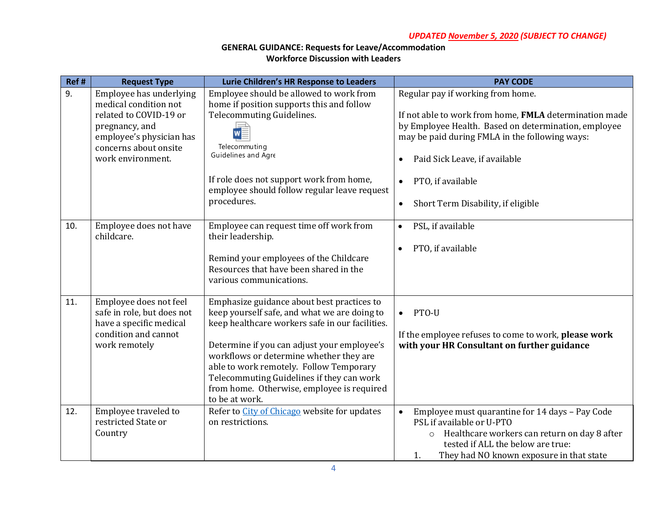| Ref # | <b>Request Type</b>                                                                                                                                                    | Lurie Children's HR Response to Leaders                                                                                                                                                                                                                                                                                                                                                         | <b>PAY CODE</b>                                                                                                                                                                                                                                                                                                                          |
|-------|------------------------------------------------------------------------------------------------------------------------------------------------------------------------|-------------------------------------------------------------------------------------------------------------------------------------------------------------------------------------------------------------------------------------------------------------------------------------------------------------------------------------------------------------------------------------------------|------------------------------------------------------------------------------------------------------------------------------------------------------------------------------------------------------------------------------------------------------------------------------------------------------------------------------------------|
| 9.    | Employee has underlying<br>medical condition not<br>related to COVID-19 or<br>pregnancy, and<br>employee's physician has<br>concerns about onsite<br>work environment. | Employee should be allowed to work from<br>home if position supports this and follow<br>Telecommuting Guidelines.<br>Telecommuting<br>Guidelines and Agre<br>If role does not support work from home,<br>employee should follow regular leave request<br>procedures.                                                                                                                            | Regular pay if working from home.<br>If not able to work from home, FMLA determination made<br>by Employee Health. Based on determination, employee<br>may be paid during FMLA in the following ways:<br>Paid Sick Leave, if available<br>$\bullet$<br>PTO, if available<br>$\bullet$<br>Short Term Disability, if eligible<br>$\bullet$ |
| 10.   | Employee does not have<br>childcare.                                                                                                                                   | Employee can request time off work from<br>their leadership.<br>Remind your employees of the Childcare<br>Resources that have been shared in the<br>various communications.                                                                                                                                                                                                                     | PSL, if available<br>$\bullet$<br>PTO, if available<br>$\bullet$                                                                                                                                                                                                                                                                         |
| 11.   | Employee does not feel<br>safe in role, but does not<br>have a specific medical<br>condition and cannot<br>work remotely                                               | Emphasize guidance about best practices to<br>keep yourself safe, and what we are doing to<br>keep healthcare workers safe in our facilities.<br>Determine if you can adjust your employee's<br>workflows or determine whether they are<br>able to work remotely. Follow Temporary<br>Telecommuting Guidelines if they can work<br>from home. Otherwise, employee is required<br>to be at work. | $\bullet$ PTO-U<br>If the employee refuses to come to work, please work<br>with your HR Consultant on further guidance                                                                                                                                                                                                                   |
| 12.   | Employee traveled to<br>restricted State or<br>Country                                                                                                                 | Refer to City of Chicago website for updates<br>on restrictions.                                                                                                                                                                                                                                                                                                                                | Employee must quarantine for 14 days - Pay Code<br>$\bullet$<br>PSL if available or U-PTO<br>Healthcare workers can return on day 8 after<br>$\circ$<br>tested if ALL the below are true:<br>They had NO known exposure in that state<br>1.                                                                                              |